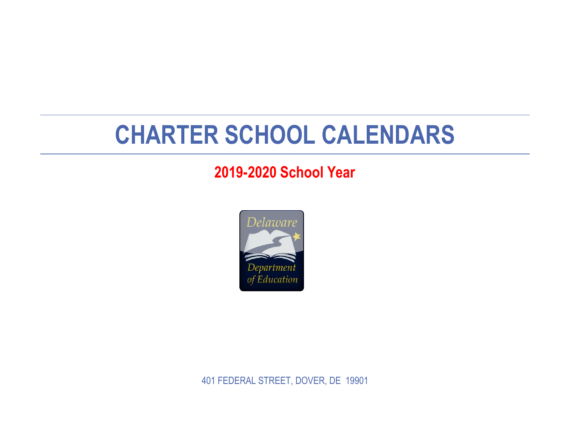## **CHARTER SCHOOL CALENDARS**

## **2019-2020 School Year**



401 FEDERAL STREET, DOVER, DE 19901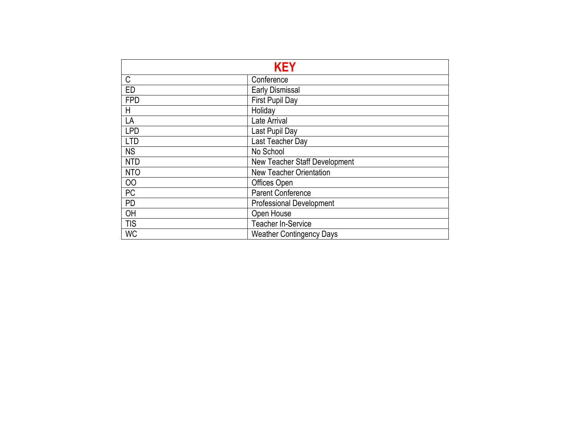|                  | <b>KEY</b>                      |
|------------------|---------------------------------|
| C                | Conference                      |
| ED               | <b>Early Dismissal</b>          |
| <b>FPD</b>       | First Pupil Day                 |
| H                | Holiday                         |
| LA               | Late Arrival                    |
| <b>LPD</b>       | Last Pupil Day                  |
| <b>LTD</b>       | Last Teacher Day                |
| <b>NS</b>        | No School                       |
| <b>NTD</b>       | New Teacher Staff Development   |
| N <sub>T</sub> O | <b>New Teacher Orientation</b>  |
| 00               | Offices Open                    |
| <b>PC</b>        | <b>Parent Conference</b>        |
| <b>PD</b>        | <b>Professional Development</b> |
| OH               | Open House                      |
| <b>TIS</b>       | <b>Teacher In-Service</b>       |
| <b>WC</b>        | <b>Weather Contingency Days</b> |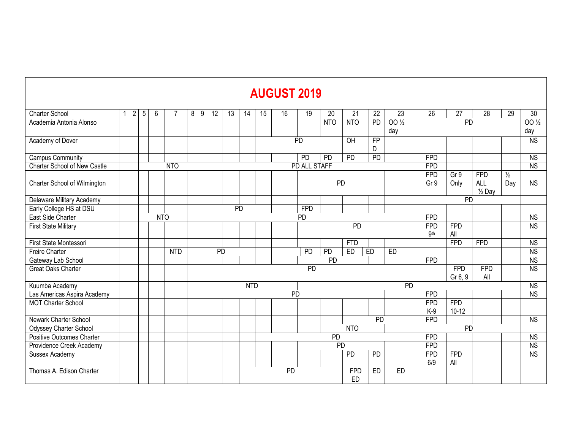## **AUGUST 2019**

| Charter School               | 1 | $\overline{2}$ | $5\phantom{.0}$ | 6          |                  | 8<br>$\overline{9}$ | 12        | 13 | 14         | $\overline{15}$ | 16              | $\overline{19}$ | $\overline{20}$ | 21              | $\overline{22}$ | $\overline{23}$ | $\overline{26}$   | $\overline{27}$   | $\overline{28}$   | 29            | $\overline{30}$        |
|------------------------------|---|----------------|-----------------|------------|------------------|---------------------|-----------|----|------------|-----------------|-----------------|-----------------|-----------------|-----------------|-----------------|-----------------|-------------------|-------------------|-------------------|---------------|------------------------|
| Academia Antonia Alonso      |   |                |                 |            |                  |                     |           |    |            |                 |                 |                 | N <sub>TO</sub> | N <sub>TO</sub> | <b>PD</b>       | $00\frac{1}{2}$ |                   | PD                |                   |               | $00\frac{1}{2}$        |
|                              |   |                |                 |            |                  |                     |           |    |            |                 |                 |                 |                 |                 |                 | day             |                   |                   |                   |               | day                    |
| Academy of Dover             |   |                |                 |            |                  |                     |           |    |            |                 |                 | <b>PD</b>       |                 | OH              | $\overline{FP}$ |                 |                   |                   |                   |               | N <sub>S</sub>         |
|                              |   |                |                 |            |                  |                     |           |    |            |                 |                 |                 |                 |                 | D               |                 |                   |                   |                   |               |                        |
| Campus Community             |   |                |                 |            |                  |                     |           |    |            |                 |                 | $\overline{PD}$ | PD              | PD              | PD              |                 | <b>FPD</b>        |                   |                   |               | <b>NS</b>              |
| Charter School of New Castle |   |                |                 |            | N <sub>T</sub> O |                     |           |    |            |                 |                 | PD ALL STAFF    |                 |                 |                 |                 | <b>FPD</b>        |                   |                   |               | $\overline{\text{NS}}$ |
|                              |   |                |                 |            |                  |                     |           |    |            |                 |                 |                 |                 |                 |                 |                 | <b>FPD</b>        | Gr 9              | <b>FPD</b>        | $\frac{1}{2}$ |                        |
| Charter School of Wilmington |   |                |                 |            |                  |                     |           |    |            |                 |                 |                 | PD              |                 |                 |                 | Gr 9              | Only              | <b>ALL</b>        | Day           | <b>NS</b>              |
|                              |   |                |                 |            |                  |                     |           |    |            |                 |                 |                 |                 |                 |                 |                 |                   |                   | $\frac{1}{2}$ Day |               |                        |
| Delaware Military Academy    |   |                |                 |            |                  |                     |           |    |            |                 |                 |                 |                 |                 |                 |                 |                   | <b>PD</b>         |                   |               |                        |
| Early College HS at DSU      |   |                |                 |            |                  |                     |           |    | <b>PD</b>  |                 |                 | <b>FPD</b>      |                 |                 |                 |                 |                   |                   |                   |               |                        |
| East Side Charter            |   |                |                 | <b>NTO</b> |                  |                     |           |    |            |                 |                 | <b>PD</b>       |                 |                 |                 |                 | <b>FPD</b>        |                   |                   |               | <b>NS</b>              |
| <b>First State Military</b>  |   |                |                 |            |                  |                     |           |    |            |                 |                 |                 |                 | PD              |                 |                 | <b>FPD</b>        | <b>FPD</b>        |                   |               | <b>NS</b>              |
|                              |   |                |                 |            |                  |                     |           |    |            |                 |                 |                 |                 |                 |                 |                 | <b>9th</b>        | All               |                   |               |                        |
| First State Montessori       |   |                |                 |            |                  |                     |           |    |            |                 |                 |                 |                 | <b>FTD</b>      |                 |                 |                   | <b>FPD</b>        | <b>FPD</b>        |               | $\overline{\text{NS}}$ |
| Freire Charter               |   |                |                 |            | <b>NTD</b>       |                     | <b>PD</b> |    |            |                 |                 | $\overline{PD}$ | PD              | ED              | ED              | ED              |                   |                   |                   |               | $\overline{\text{NS}}$ |
| Gateway Lab School           |   |                |                 |            |                  |                     |           |    |            |                 |                 |                 | $\overline{PD}$ |                 |                 |                 | <b>FPD</b>        |                   |                   |               | N <sub>S</sub>         |
| Great Oaks Charter           |   |                |                 |            |                  |                     |           |    |            |                 |                 | PD              |                 |                 |                 |                 |                   | <b>FPD</b>        | <b>FPD</b>        |               | $\overline{\text{NS}}$ |
|                              |   |                |                 |            |                  |                     |           |    |            |                 |                 |                 |                 |                 |                 |                 |                   | Gr 6, 9           | All               |               |                        |
| Kuumba Academy               |   |                |                 |            |                  |                     |           |    | <b>NTD</b> |                 |                 |                 |                 |                 |                 | $\overline{PD}$ |                   |                   |                   |               | $\overline{\text{NS}}$ |
| Las Americas Aspira Academy  |   |                |                 |            |                  |                     |           |    |            |                 | <b>PD</b>       |                 |                 |                 |                 |                 | <b>FPD</b>        |                   |                   |               | <b>NS</b>              |
| <b>MOT Charter School</b>    |   |                |                 |            |                  |                     |           |    |            |                 |                 |                 |                 |                 |                 |                 | <b>FPD</b>        | <b>FPD</b>        |                   |               |                        |
|                              |   |                |                 |            |                  |                     |           |    |            |                 |                 |                 |                 |                 |                 |                 | $K-9$             | $10 - 12$         |                   |               |                        |
| Newark Charter School        |   |                |                 |            |                  |                     |           |    |            |                 |                 |                 |                 |                 | $\overline{PD}$ |                 | <b>FPD</b>        |                   |                   |               | <b>NS</b>              |
| Odyssey Charter School       |   |                |                 |            |                  |                     |           |    |            |                 |                 |                 |                 | N <sub>TO</sub> |                 |                 |                   | PD                |                   |               |                        |
| Positive Outcomes Charter    |   |                |                 |            |                  |                     |           |    |            |                 |                 |                 | PD              |                 |                 |                 | <b>FPD</b>        |                   |                   |               | <b>NS</b>              |
| Providence Creek Academy     |   |                |                 |            |                  |                     |           |    |            |                 |                 |                 | PD              |                 |                 |                 | <b>FPD</b>        |                   |                   |               | <b>NS</b>              |
| Sussex Academy               |   |                |                 |            |                  |                     |           |    |            |                 |                 |                 |                 | <b>PD</b>       | <b>PD</b>       |                 | <b>FPD</b><br>6/9 | <b>FPD</b><br>All |                   |               | <b>NS</b>              |
| Thomas A. Edison Charter     |   |                |                 |            |                  |                     |           |    |            |                 | $\overline{PD}$ |                 |                 | <b>FPD</b>      | ED              | <b>ED</b>       |                   |                   |                   |               |                        |
|                              |   |                |                 |            |                  |                     |           |    |            |                 |                 |                 |                 | ED              |                 |                 |                   |                   |                   |               |                        |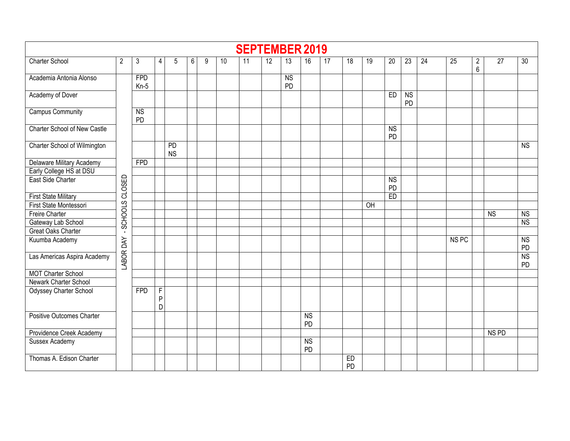|                                     |                |                       |                                     |                        |                |   |    | <b>SEPTEMBER 2019</b> |                 |                        |                              |                 |                 |    |                              |                             |                 |                  |                                  |                  |                 |
|-------------------------------------|----------------|-----------------------|-------------------------------------|------------------------|----------------|---|----|-----------------------|-----------------|------------------------|------------------------------|-----------------|-----------------|----|------------------------------|-----------------------------|-----------------|------------------|----------------------------------|------------------|-----------------|
| <b>Charter School</b>               | $\overline{2}$ | 3                     | 4                                   | 5                      | $6\phantom{.}$ | 9 | 10 | $\overline{11}$       | $\overline{12}$ | 13                     | 16                           | $\overline{17}$ | 18              | 19 | 20                           | $\overline{23}$             | $\overline{24}$ | 25               | $\overline{c}$<br>$6\phantom{a}$ | $\overline{27}$  | $\overline{30}$ |
| Academia Antonia Alonso             |                | <b>FPD</b><br>$Kn-5$  |                                     |                        |                |   |    |                       |                 | <b>NS</b><br><b>PD</b> |                              |                 |                 |    |                              |                             |                 |                  |                                  |                  |                 |
| Academy of Dover                    |                |                       |                                     |                        |                |   |    |                       |                 |                        |                              |                 |                 |    | ED                           | N <sub>S</sub><br><b>PD</b> |                 |                  |                                  |                  |                 |
| <b>Campus Community</b>             |                | $\overline{MS}$<br>PD |                                     |                        |                |   |    |                       |                 |                        |                              |                 |                 |    |                              |                             |                 |                  |                                  |                  |                 |
| <b>Charter School of New Castle</b> |                |                       |                                     |                        |                |   |    |                       |                 |                        |                              |                 |                 |    | $\overline{\text{NS}}$<br>PD |                             |                 |                  |                                  |                  |                 |
| Charter School of Wilmington        |                |                       |                                     | <b>PD</b><br><b>NS</b> |                |   |    |                       |                 |                        |                              |                 |                 |    |                              |                             |                 |                  |                                  |                  | <b>NS</b>       |
| Delaware Military Academy           |                | FPD                   |                                     |                        |                |   |    |                       |                 |                        |                              |                 |                 |    |                              |                             |                 |                  |                                  |                  |                 |
| Early College HS at DSU             |                |                       |                                     |                        |                |   |    |                       |                 |                        |                              |                 |                 |    |                              |                             |                 |                  |                                  |                  |                 |
| East Side Charter                   | SCHOOLS CLOSED |                       |                                     |                        |                |   |    |                       |                 |                        |                              |                 |                 |    | <b>NS</b><br>PD              |                             |                 |                  |                                  |                  |                 |
| First State Military                |                |                       |                                     |                        |                |   |    |                       |                 |                        |                              |                 |                 |    | E <sub>D</sub>               |                             |                 |                  |                                  |                  |                 |
| First State Montessori              |                |                       |                                     |                        |                |   |    |                       |                 |                        |                              |                 |                 | OH |                              |                             |                 |                  |                                  |                  |                 |
| <b>Freire Charter</b>               |                |                       |                                     |                        |                |   |    |                       |                 |                        |                              |                 |                 |    |                              |                             |                 |                  |                                  | N <sub>S</sub>   | NS              |
| Gateway Lab School                  |                |                       |                                     |                        |                |   |    |                       |                 |                        |                              |                 |                 |    |                              |                             |                 |                  |                                  |                  | N <sub>S</sub>  |
| Great Oaks Charter                  | $\blacksquare$ |                       |                                     |                        |                |   |    |                       |                 |                        |                              |                 |                 |    |                              |                             |                 |                  |                                  |                  |                 |
| Kuumba Academy                      |                |                       |                                     |                        |                |   |    |                       |                 |                        |                              |                 |                 |    |                              |                             |                 | NS <sub>PC</sub> |                                  |                  | NS<br>PD        |
| Las Americas Aspira Academy         | LABOR DAY      |                       |                                     |                        |                |   |    |                       |                 |                        |                              |                 |                 |    |                              |                             |                 |                  |                                  |                  | <b>NS</b><br>PD |
| <b>MOT Charter School</b>           |                |                       |                                     |                        |                |   |    |                       |                 |                        |                              |                 |                 |    |                              |                             |                 |                  |                                  |                  |                 |
| Newark Charter School               |                |                       |                                     |                        |                |   |    |                       |                 |                        |                              |                 |                 |    |                              |                             |                 |                  |                                  |                  |                 |
| Odyssey Charter School              |                | <b>FPD</b>            | $\overline{F}$<br>$\mathsf{P}$<br>D |                        |                |   |    |                       |                 |                        |                              |                 |                 |    |                              |                             |                 |                  |                                  |                  |                 |
| <b>Positive Outcomes Charter</b>    |                |                       |                                     |                        |                |   |    |                       |                 |                        | $\overline{\text{NS}}$<br>PD |                 |                 |    |                              |                             |                 |                  |                                  |                  |                 |
| Providence Creek Academy            |                |                       |                                     |                        |                |   |    |                       |                 |                        |                              |                 |                 |    |                              |                             |                 |                  |                                  | NS <sub>PD</sub> |                 |
| <b>Sussex Academy</b>               |                |                       |                                     |                        |                |   |    |                       |                 |                        | $\overline{\text{NS}}$<br>PD |                 |                 |    |                              |                             |                 |                  |                                  |                  |                 |
| Thomas A. Edison Charter            |                |                       |                                     |                        |                |   |    |                       |                 |                        |                              |                 | ED<br><b>PD</b> |    |                              |                             |                 |                  |                                  |                  |                 |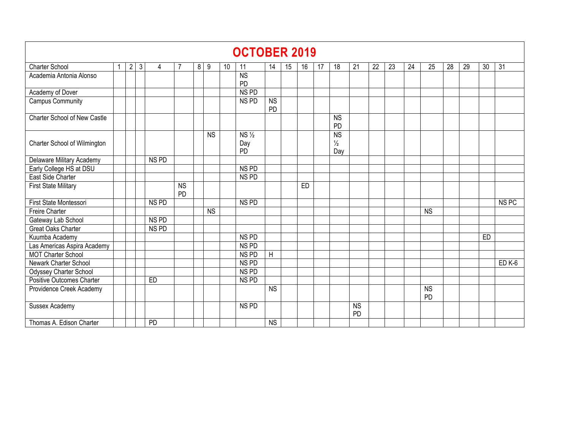|                              |                                                                                                                              |                |              |                  |                 |   |           |    | <b>OCTOBER 2019</b>    |                        |    |    |    |                        |                 |    |    |    |                 |    |    |           |                   |
|------------------------------|------------------------------------------------------------------------------------------------------------------------------|----------------|--------------|------------------|-----------------|---|-----------|----|------------------------|------------------------|----|----|----|------------------------|-----------------|----|----|----|-----------------|----|----|-----------|-------------------|
| Charter School               |                                                                                                                              | $\overline{2}$ | $\mathbf{3}$ | 4                |                 | 8 | 9         | 10 | 11                     | 14                     | 15 | 16 | 17 | 18                     | 21              | 22 | 23 | 24 | 25              | 28 | 29 | 30        | 31                |
| Academia Antonia Alonso      |                                                                                                                              |                |              |                  |                 |   |           |    | $\overline{\text{NS}}$ |                        |    |    |    |                        |                 |    |    |    |                 |    |    |           |                   |
| Academy of Dover             |                                                                                                                              |                |              |                  |                 |   |           |    | PD<br>NS <sub>PD</sub> |                        |    |    |    |                        |                 |    |    |    |                 |    |    |           |                   |
| Campus Community             |                                                                                                                              |                |              |                  |                 |   |           |    | NS PD                  | <b>NS</b>              |    |    |    |                        |                 |    |    |    |                 |    |    |           |                   |
|                              |                                                                                                                              |                |              |                  |                 |   |           |    |                        | PD                     |    |    |    |                        |                 |    |    |    |                 |    |    |           |                   |
| Charter School of New Castle |                                                                                                                              |                |              |                  |                 |   |           |    |                        |                        |    |    |    | <b>NS</b><br><b>PD</b> |                 |    |    |    |                 |    |    |           |                   |
|                              | $\overline{\text{NS}}$<br>$NS \frac{1}{2}$<br><b>NS</b><br>Charter School of Wilmington<br>$\frac{1}{2}$<br>Day<br>PD<br>Day |                |              |                  |                 |   |           |    |                        |                        |    |    |    |                        |                 |    |    |    |                 |    |    |           |                   |
|                              |                                                                                                                              |                |              |                  |                 |   |           |    |                        |                        |    |    |    |                        |                 |    |    |    |                 |    |    |           |                   |
| Delaware Military Academy    |                                                                                                                              |                |              | NS <sub>PD</sub> |                 |   |           |    |                        |                        |    |    |    |                        |                 |    |    |    |                 |    |    |           |                   |
| Early College HS at DSU      |                                                                                                                              |                |              |                  |                 |   |           |    | NS <sub>PD</sub>       |                        |    |    |    |                        |                 |    |    |    |                 |    |    |           |                   |
| East Side Charter            |                                                                                                                              |                |              |                  |                 |   |           |    | NS PD                  |                        |    |    |    |                        |                 |    |    |    |                 |    |    |           |                   |
| <b>First State Military</b>  |                                                                                                                              |                |              |                  | <b>NS</b><br>PD |   |           |    |                        |                        |    | ED |    |                        |                 |    |    |    |                 |    |    |           |                   |
| First State Montessori       |                                                                                                                              |                |              | NS <sub>PD</sub> |                 |   |           |    | NS <sub>PD</sub>       |                        |    |    |    |                        |                 |    |    |    |                 |    |    |           | NS <sub>PC</sub>  |
| <b>Freire Charter</b>        |                                                                                                                              |                |              |                  |                 |   | <b>NS</b> |    |                        |                        |    |    |    |                        |                 |    |    |    | <b>NS</b>       |    |    |           |                   |
| Gateway Lab School           |                                                                                                                              |                |              | NS <sub>PD</sub> |                 |   |           |    |                        |                        |    |    |    |                        |                 |    |    |    |                 |    |    |           |                   |
| Great Oaks Charter           |                                                                                                                              |                |              | NS <sub>PD</sub> |                 |   |           |    |                        |                        |    |    |    |                        |                 |    |    |    |                 |    |    |           |                   |
| Kuumba Academy               |                                                                                                                              |                |              |                  |                 |   |           |    | NS PD                  |                        |    |    |    |                        |                 |    |    |    |                 |    |    | <b>ED</b> |                   |
| Las Americas Aspira Academy  |                                                                                                                              |                |              |                  |                 |   |           |    | NS <sub>PD</sub>       |                        |    |    |    |                        |                 |    |    |    |                 |    |    |           |                   |
| <b>MOT Charter School</b>    |                                                                                                                              |                |              |                  |                 |   |           |    | NS <sub>PD</sub>       | $\overline{H}$         |    |    |    |                        |                 |    |    |    |                 |    |    |           |                   |
| Newark Charter School        |                                                                                                                              |                |              |                  |                 |   |           |    | NS <sub>PD</sub>       |                        |    |    |    |                        |                 |    |    |    |                 |    |    |           | ED <sub>K-6</sub> |
| Odyssey Charter School       |                                                                                                                              |                |              |                  |                 |   |           |    | NS PD                  |                        |    |    |    |                        |                 |    |    |    |                 |    |    |           |                   |
| Positive Outcomes Charter    |                                                                                                                              |                |              | ED               |                 |   |           |    | NS <sub>PD</sub>       |                        |    |    |    |                        |                 |    |    |    |                 |    |    |           |                   |
| Providence Creek Academy     |                                                                                                                              |                |              |                  |                 |   |           |    |                        | $\overline{\text{NS}}$ |    |    |    |                        |                 |    |    |    | <b>NS</b><br>PD |    |    |           |                   |
| Sussex Academy               |                                                                                                                              |                |              |                  |                 |   |           |    | NS PD                  |                        |    |    |    |                        | <b>NS</b><br>PD |    |    |    |                 |    |    |           |                   |
| Thomas A. Edison Charter     |                                                                                                                              |                |              | PD               |                 |   |           |    |                        | <b>NS</b>              |    |    |    |                        |                 |    |    |    |                 |    |    |           |                   |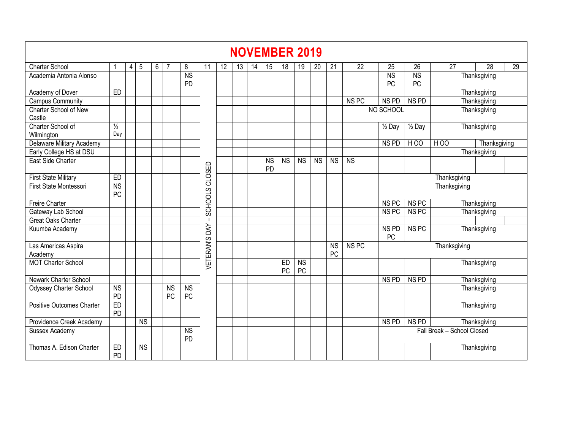|                                  |                                     |                |                        |   |                      |                 |                  |    |    |    |                 |                        | <b>NOVEMBER 2019</b> |           |                 |                  |                        |                                                                                                                             |                            |                              |  |  |  |  |  |  |  |  |  |
|----------------------------------|-------------------------------------|----------------|------------------------|---|----------------------|-----------------|------------------|----|----|----|-----------------|------------------------|----------------------|-----------|-----------------|------------------|------------------------|-----------------------------------------------------------------------------------------------------------------------------|----------------------------|------------------------------|--|--|--|--|--|--|--|--|--|
| <b>Charter School</b>            |                                     | $\overline{4}$ | 5                      | 6 |                      | 8               | 11               | 12 | 13 | 14 | 15              | 18                     | 19                   | 20        | 21              | 22               | 25                     | 26<br>27<br>28<br>29<br><b>NS</b><br>Thanksgiving<br>PC<br>Thanksgiving<br>NS <sub>PD</sub><br>Thanksgiving<br>Thanksgiving |                            |                              |  |  |  |  |  |  |  |  |  |
| Academia Antonia Alonso          |                                     |                |                        |   |                      | <b>NS</b><br>PD |                  |    |    |    |                 |                        |                      |           |                 |                  | <b>NS</b><br>PC        |                                                                                                                             |                            |                              |  |  |  |  |  |  |  |  |  |
| Academy of Dover                 | <b>ED</b>                           |                |                        |   |                      |                 |                  |    |    |    |                 |                        |                      |           |                 |                  |                        |                                                                                                                             |                            |                              |  |  |  |  |  |  |  |  |  |
| <b>Campus Community</b>          |                                     |                |                        |   |                      |                 |                  |    |    |    |                 |                        |                      |           |                 | NS <sub>PC</sub> | NS <sub>PD</sub>       |                                                                                                                             |                            |                              |  |  |  |  |  |  |  |  |  |
| Charter School of New<br>Castle  |                                     |                |                        |   |                      |                 |                  |    |    |    |                 |                        |                      |           |                 |                  | NO SCHOOL              |                                                                                                                             |                            |                              |  |  |  |  |  |  |  |  |  |
| Charter School of<br>Wilmington  | $\frac{1}{2}$<br>Day                |                |                        |   |                      |                 |                  |    |    |    |                 |                        |                      |           |                 |                  | $\frac{1}{2}$ Day      | $\overline{\frac{1}{2}}$ Day                                                                                                |                            | Thanksgiving                 |  |  |  |  |  |  |  |  |  |
| Delaware Military Academy        |                                     |                |                        |   |                      |                 |                  |    |    |    |                 |                        |                      |           |                 |                  | NS <sub>PD</sub>       | $H$ OO                                                                                                                      | $H$ OO                     | Thanksgiving<br>Thanksgiving |  |  |  |  |  |  |  |  |  |
| Early College HS at DSU          |                                     |                |                        |   |                      |                 |                  |    |    |    |                 |                        |                      |           |                 |                  |                        |                                                                                                                             |                            |                              |  |  |  |  |  |  |  |  |  |
| East Side Charter                |                                     |                |                        |   |                      |                 | CLOSED           |    |    |    | <b>NS</b><br>PD | $\overline{\text{NS}}$ | <b>NS</b>            | <b>NS</b> | <b>NS</b>       | <b>NS</b>        |                        |                                                                                                                             |                            |                              |  |  |  |  |  |  |  |  |  |
| <b>First State Military</b>      | ED                                  |                |                        |   |                      |                 |                  |    |    |    |                 |                        |                      |           |                 |                  |                        |                                                                                                                             | Thanksgiving               |                              |  |  |  |  |  |  |  |  |  |
| <b>First State Montessori</b>    | <b>NS</b><br>PC                     |                |                        |   |                      |                 | SCHOOLS          |    |    |    |                 |                        |                      |           |                 |                  |                        |                                                                                                                             | Thanksgiving               |                              |  |  |  |  |  |  |  |  |  |
| <b>Freire Charter</b>            |                                     |                |                        |   |                      |                 |                  |    |    |    |                 |                        |                      |           |                 |                  | NS <sub>PC</sub>       | NS <sub>PC</sub>                                                                                                            |                            | Thanksgiving                 |  |  |  |  |  |  |  |  |  |
| Gateway Lab School               |                                     |                |                        |   |                      |                 |                  |    |    |    |                 |                        |                      |           |                 |                  | NS <sub>PC</sub>       | NS <sub>PC</sub>                                                                                                            |                            | Thanksgiving                 |  |  |  |  |  |  |  |  |  |
| <b>Great Oaks Charter</b>        |                                     |                |                        |   |                      |                 | -1               |    |    |    |                 |                        |                      |           |                 |                  |                        |                                                                                                                             |                            |                              |  |  |  |  |  |  |  |  |  |
| Kuumba Academy                   |                                     |                |                        |   |                      |                 | DAY              |    |    |    |                 |                        |                      |           |                 |                  | NS <sub>PD</sub><br>PC | NS <sub>PC</sub>                                                                                                            |                            | Thanksgiving                 |  |  |  |  |  |  |  |  |  |
| Las Americas Aspira<br>Academy   |                                     |                |                        |   |                      |                 | <b>VETERAN'S</b> |    |    |    |                 |                        |                      |           | <b>NS</b><br>PC | NS <sub>PC</sub> |                        |                                                                                                                             | Thanksgiving               |                              |  |  |  |  |  |  |  |  |  |
| <b>MOT Charter School</b>        |                                     |                |                        |   |                      |                 |                  |    |    |    |                 | ED<br>PC               | <b>NS</b><br>PC      |           |                 |                  |                        |                                                                                                                             |                            | Thanksgiving                 |  |  |  |  |  |  |  |  |  |
| Newark Charter School            |                                     |                |                        |   |                      |                 |                  |    |    |    |                 |                        |                      |           |                 |                  | NS <sub>PD</sub>       | NS <sub>PD</sub>                                                                                                            |                            | Thanksgiving                 |  |  |  |  |  |  |  |  |  |
| Odyssey Charter School           | $\overline{\text{NS}}$<br><b>PD</b> |                |                        |   | N <sub>S</sub><br>PC | <b>NS</b><br>PC |                  |    |    |    |                 |                        |                      |           |                 |                  |                        |                                                                                                                             |                            | Thanksgiving                 |  |  |  |  |  |  |  |  |  |
| <b>Positive Outcomes Charter</b> | ED<br><b>PD</b>                     |                |                        |   |                      |                 |                  |    |    |    |                 |                        |                      |           |                 |                  |                        |                                                                                                                             |                            | Thanksgiving                 |  |  |  |  |  |  |  |  |  |
| Providence Creek Academy         |                                     |                | $\overline{\text{NS}}$ |   |                      |                 |                  |    |    |    |                 |                        |                      |           |                 |                  | NS <sub>PD</sub>       | NS <sub>PD</sub>                                                                                                            |                            | Thanksgiving                 |  |  |  |  |  |  |  |  |  |
| Sussex Academy                   |                                     |                |                        |   |                      | <b>NS</b><br>PD |                  |    |    |    |                 |                        |                      |           |                 |                  |                        |                                                                                                                             | Fall Break - School Closed |                              |  |  |  |  |  |  |  |  |  |
| Thomas A. Edison Charter         | ED<br>PD                            |                | <b>NS</b>              |   |                      |                 |                  |    |    |    |                 |                        |                      |           |                 |                  |                        |                                                                                                                             |                            | Thanksgiving                 |  |  |  |  |  |  |  |  |  |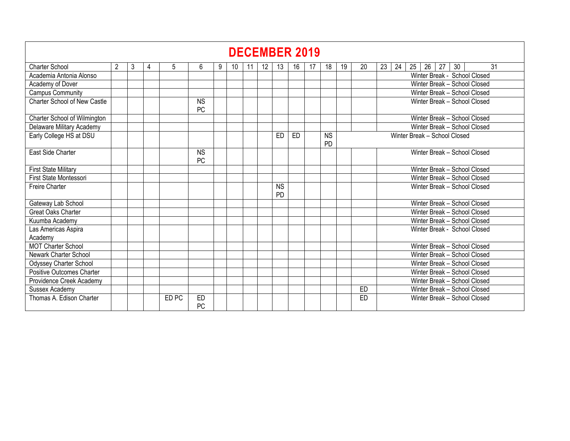|                                     |                |   |   |       |                                                                                                                                                              |   |    |  |                   |                 | <b>DECEMBER 2019</b> |                                                              |    |    |                              |                                        |  |  |  |  |  |  |  |  |  |  |  |  |  |
|-------------------------------------|----------------|---|---|-------|--------------------------------------------------------------------------------------------------------------------------------------------------------------|---|----|--|-------------------|-----------------|----------------------|--------------------------------------------------------------|----|----|------------------------------|----------------------------------------|--|--|--|--|--|--|--|--|--|--|--|--|--|
| <b>Charter School</b>               | $\overline{2}$ | 3 | 4 | 5     | 6                                                                                                                                                            | 9 | 10 |  | $12 \overline{ }$ | 13              | 16                   |                                                              | 18 | 19 | 20                           | 26<br>27<br>30<br>31<br>23<br>24<br>25 |  |  |  |  |  |  |  |  |  |  |  |  |  |
| Academia Antonia Alonso             |                |   |   |       |                                                                                                                                                              |   |    |  |                   |                 |                      |                                                              |    |    |                              | Winter Break - School Closed           |  |  |  |  |  |  |  |  |  |  |  |  |  |
| Academy of Dover                    |                |   |   |       |                                                                                                                                                              |   |    |  |                   |                 |                      |                                                              |    |    |                              | Winter Break - School Closed           |  |  |  |  |  |  |  |  |  |  |  |  |  |
| <b>Campus Community</b>             |                |   |   |       |                                                                                                                                                              |   |    |  |                   |                 |                      |                                                              |    |    |                              | Winter Break - School Closed           |  |  |  |  |  |  |  |  |  |  |  |  |  |
| <b>Charter School of New Castle</b> |                |   |   |       | <b>NS</b><br>PC                                                                                                                                              |   |    |  |                   |                 |                      |                                                              |    |    |                              | Winter Break - School Closed           |  |  |  |  |  |  |  |  |  |  |  |  |  |
| Charter School of Wilmington        |                |   |   |       |                                                                                                                                                              |   |    |  |                   |                 |                      |                                                              |    |    |                              | Winter Break - School Closed           |  |  |  |  |  |  |  |  |  |  |  |  |  |
| Delaware Military Academy           |                |   |   |       |                                                                                                                                                              |   |    |  |                   |                 |                      |                                                              |    |    |                              | Winter Break - School Closed           |  |  |  |  |  |  |  |  |  |  |  |  |  |
| Early College HS at DSU             |                |   |   |       | <b>NS</b><br>ED<br>ED<br>Winter Break - School Closed<br><b>PD</b><br>Winter Break - School Closed<br><b>NS</b><br><b>PC</b><br>Winter Break - School Closed |   |    |  |                   |                 |                      |                                                              |    |    |                              |                                        |  |  |  |  |  |  |  |  |  |  |  |  |  |
| East Side Charter                   |                |   |   |       |                                                                                                                                                              |   |    |  |                   |                 |                      | Winter Break - School Closed<br>Winter Break - School Closed |    |    |                              |                                        |  |  |  |  |  |  |  |  |  |  |  |  |  |
| <b>First State Military</b>         |                |   |   |       |                                                                                                                                                              |   |    |  |                   |                 |                      |                                                              |    |    |                              |                                        |  |  |  |  |  |  |  |  |  |  |  |  |  |
| First State Montessori              |                |   |   |       |                                                                                                                                                              |   |    |  |                   |                 |                      |                                                              |    |    |                              |                                        |  |  |  |  |  |  |  |  |  |  |  |  |  |
| Freire Charter                      |                |   |   |       |                                                                                                                                                              |   |    |  |                   | <b>NS</b><br>PD |                      |                                                              |    |    | Winter Break - School Closed |                                        |  |  |  |  |  |  |  |  |  |  |  |  |  |
| Gateway Lab School                  |                |   |   |       |                                                                                                                                                              |   |    |  |                   |                 |                      |                                                              |    |    |                              |                                        |  |  |  |  |  |  |  |  |  |  |  |  |  |
| <b>Great Oaks Charter</b>           |                |   |   |       |                                                                                                                                                              |   |    |  |                   |                 |                      |                                                              |    |    |                              | Winter Break - School Closed           |  |  |  |  |  |  |  |  |  |  |  |  |  |
| Kuumba Academy                      |                |   |   |       |                                                                                                                                                              |   |    |  |                   |                 |                      |                                                              |    |    |                              | Winter Break - School Closed           |  |  |  |  |  |  |  |  |  |  |  |  |  |
| Las Americas Aspira                 |                |   |   |       |                                                                                                                                                              |   |    |  |                   |                 |                      |                                                              |    |    |                              | Winter Break - School Closed           |  |  |  |  |  |  |  |  |  |  |  |  |  |
| Academy                             |                |   |   |       |                                                                                                                                                              |   |    |  |                   |                 |                      |                                                              |    |    |                              |                                        |  |  |  |  |  |  |  |  |  |  |  |  |  |
| <b>MOT Charter School</b>           |                |   |   |       |                                                                                                                                                              |   |    |  |                   |                 |                      |                                                              |    |    |                              | Winter Break - School Closed           |  |  |  |  |  |  |  |  |  |  |  |  |  |
| <b>Newark Charter School</b>        |                |   |   |       |                                                                                                                                                              |   |    |  |                   |                 |                      |                                                              |    |    |                              | Winter Break - School Closed           |  |  |  |  |  |  |  |  |  |  |  |  |  |
| Odyssey Charter School              |                |   |   |       |                                                                                                                                                              |   |    |  |                   |                 |                      |                                                              |    |    |                              | Winter Break - School Closed           |  |  |  |  |  |  |  |  |  |  |  |  |  |
| Positive Outcomes Charter           |                |   |   |       |                                                                                                                                                              |   |    |  |                   |                 |                      |                                                              |    |    |                              | Winter Break - School Closed           |  |  |  |  |  |  |  |  |  |  |  |  |  |
| Providence Creek Academy            |                |   |   |       |                                                                                                                                                              |   |    |  |                   |                 |                      |                                                              |    |    |                              | Winter Break - School Closed           |  |  |  |  |  |  |  |  |  |  |  |  |  |
| Sussex Academy                      |                |   |   |       |                                                                                                                                                              |   |    |  |                   |                 |                      |                                                              |    |    | ED                           | Winter Break - School Closed           |  |  |  |  |  |  |  |  |  |  |  |  |  |
| Thomas A. Edison Charter            |                |   |   | ED PC | ED<br>PC                                                                                                                                                     |   |    |  |                   |                 |                      |                                                              |    |    | <b>ED</b>                    | Winter Break - School Closed           |  |  |  |  |  |  |  |  |  |  |  |  |  |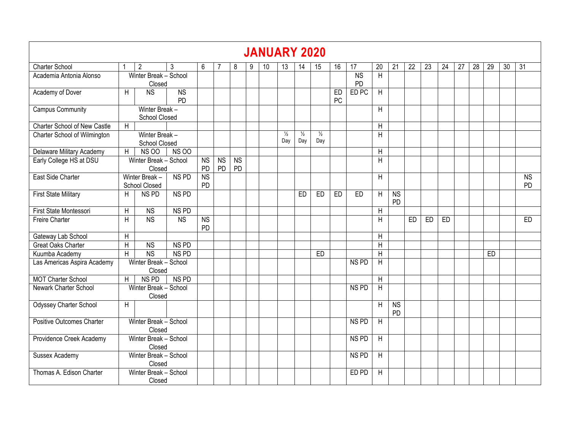|                                  |                |                                        |                        |                              |                 |                      |   | <b>JANUARY 2020</b> |                      |                      |                      |          |                      |                 |                              |    |    |    |                 |                 |    |    |                 |
|----------------------------------|----------------|----------------------------------------|------------------------|------------------------------|-----------------|----------------------|---|---------------------|----------------------|----------------------|----------------------|----------|----------------------|-----------------|------------------------------|----|----|----|-----------------|-----------------|----|----|-----------------|
| <b>Charter School</b>            |                | $\overline{2}$                         | 3                      | 6                            |                 | 8                    | 9 | 10                  | 13                   | 14                   | 15                   | 16       | 17                   | $\overline{20}$ | 21                           | 22 | 23 | 24 | $\overline{27}$ | $\overline{28}$ | 29 | 30 | $\overline{31}$ |
| Academia Antonia Alonso          |                | Winter Break - School<br>Closed        |                        |                              |                 |                      |   |                     |                      |                      |                      |          | N <sub>S</sub><br>PD | H               |                              |    |    |    |                 |                 |    |    |                 |
| Academy of Dover                 | $\mathsf{H}$   | <b>NS</b>                              | <b>NS</b><br><b>PD</b> |                              |                 |                      |   |                     |                      |                      |                      | ED<br>PC | ED <sub>PC</sub>     | $\mathsf{H}$    |                              |    |    |    |                 |                 |    |    |                 |
| <b>Campus Community</b>          |                | Winter Break -<br><b>School Closed</b> |                        |                              |                 |                      |   |                     |                      |                      |                      |          |                      | H               |                              |    |    |    |                 |                 |    |    |                 |
| Charter School of New Castle     | $\overline{H}$ |                                        |                        |                              |                 |                      |   |                     |                      |                      |                      |          |                      | $\mathsf{H}$    |                              |    |    |    |                 |                 |    |    |                 |
| Charter School of Wilmington     |                | Winter Break -<br><b>School Closed</b> |                        |                              |                 |                      |   |                     | $\frac{1}{2}$<br>Day | $\frac{1}{2}$<br>Day | $\frac{1}{2}$<br>Day |          |                      | H               |                              |    |    |    |                 |                 |    |    |                 |
| Delaware Military Academy        | H              | <b>NS 00</b>                           | <b>NS 00</b>           |                              |                 |                      |   |                     |                      |                      |                      |          |                      | H               |                              |    |    |    |                 |                 |    |    |                 |
| Early College HS at DSU          |                | Winter Break - School<br>Closed        |                        | <b>NS</b><br>PD              | <b>NS</b><br>PD | N <sub>S</sub><br>PD |   |                     |                      |                      |                      |          |                      | H               |                              |    |    |    |                 |                 |    |    |                 |
| East Side Charter                |                | Winter Break -<br>School Closed        | NS <sub>PD</sub>       | <b>NS</b><br><b>PD</b>       |                 |                      |   |                     |                      |                      |                      |          |                      | $\mathsf{H}$    |                              |    |    |    |                 |                 |    |    | <b>NS</b><br>PD |
| <b>First State Military</b>      | H              | NS <sub>PD</sub>                       | NS <sub>PD</sub>       |                              |                 |                      |   |                     |                      | ED                   | ED                   | ED       | ED                   | H               | $\overline{\text{NS}}$<br>PD |    |    |    |                 |                 |    |    |                 |
| First State Montessori           | H              | N <sub>S</sub>                         | NS <sub>PD</sub>       |                              |                 |                      |   |                     |                      |                      |                      |          |                      | H               |                              |    |    |    |                 |                 |    |    |                 |
| Freire Charter                   | H              | <b>NS</b>                              | N <sub>S</sub>         | $\overline{\text{NS}}$<br>PD |                 |                      |   |                     |                      |                      |                      |          |                      | H               |                              | ED | ED | ED |                 |                 |    |    | <b>ED</b>       |
| Gateway Lab School               | H              |                                        |                        |                              |                 |                      |   |                     |                      |                      |                      |          |                      | $\mathsf{H}$    |                              |    |    |    |                 |                 |    |    |                 |
| <b>Great Oaks Charter</b>        | H              | N <sub>S</sub>                         | NS <sub>PD</sub>       |                              |                 |                      |   |                     |                      |                      |                      |          |                      | H               |                              |    |    |    |                 |                 |    |    |                 |
| Kuumba Academy                   | $\overline{H}$ | <b>NS</b>                              | NS <sub>PD</sub>       |                              |                 |                      |   |                     |                      |                      | ED                   |          |                      | $\sf H$         |                              |    |    |    |                 |                 | ED |    |                 |
| Las Americas Aspira Academy      |                | Winter Break - School<br>Closed        |                        |                              |                 |                      |   |                     |                      |                      |                      |          | NS <sub>PD</sub>     | $\mathsf{H}$    |                              |    |    |    |                 |                 |    |    |                 |
| <b>MOT Charter School</b>        | H              | NS <sub>PD</sub>                       | NS <sub>PD</sub>       |                              |                 |                      |   |                     |                      |                      |                      |          |                      | $\sf H$         |                              |    |    |    |                 |                 |    |    |                 |
| Newark Charter School            |                | Winter Break - School<br>Closed        |                        |                              |                 |                      |   |                     |                      |                      |                      |          | NS <sub>PD</sub>     | H               |                              |    |    |    |                 |                 |    |    |                 |
| <b>Odyssey Charter School</b>    | H              |                                        |                        |                              |                 |                      |   |                     |                      |                      |                      |          |                      | H               | $\overline{\text{NS}}$<br>PD |    |    |    |                 |                 |    |    |                 |
| <b>Positive Outcomes Charter</b> |                | Winter Break - School<br>Closed        |                        |                              |                 |                      |   |                     |                      |                      |                      |          | NS <sub>PD</sub>     | H               |                              |    |    |    |                 |                 |    |    |                 |
| Providence Creek Academy         |                | Winter Break - School<br>Closed        |                        |                              |                 |                      |   |                     |                      |                      |                      |          | NS <sub>PD</sub>     | $\mathsf{H}$    |                              |    |    |    |                 |                 |    |    |                 |
| Sussex Academy                   |                | Winter Break - School<br>Closed        |                        |                              |                 |                      |   |                     |                      |                      |                      |          | NS <sub>PD</sub>     | H               |                              |    |    |    |                 |                 |    |    |                 |
| Thomas A. Edison Charter         |                | Winter Break - School<br>Closed        |                        |                              |                 |                      |   |                     |                      |                      |                      |          | ED PD                | H               |                              |    |    |    |                 |                 |    |    |                 |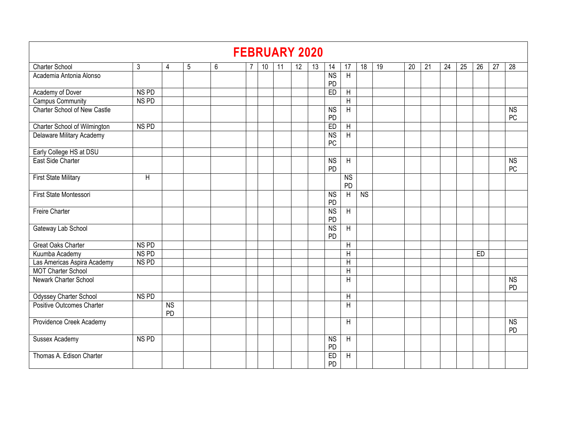|                                                                                                                               |                  |                                     |   |   |   |    | <b>FEBRUARY 2020</b> |    |    |                      |                      |                        |    |    |    |    |    |    |    |                              |
|-------------------------------------------------------------------------------------------------------------------------------|------------------|-------------------------------------|---|---|---|----|----------------------|----|----|----------------------|----------------------|------------------------|----|----|----|----|----|----|----|------------------------------|
| <b>Charter School</b>                                                                                                         | 3                | 4                                   | 5 | 6 | 7 | 10 | 11                   | 12 | 13 | 14                   | 17                   | 18                     | 19 | 20 | 21 | 24 | 25 | 26 | 27 | 28                           |
| Academia Antonia Alonso                                                                                                       |                  |                                     |   |   |   |    |                      |    |    | <b>NS</b><br>PD      | $\overline{H}$       |                        |    |    |    |    |    |    |    |                              |
| Academy of Dover                                                                                                              | NS <sub>PD</sub> |                                     |   |   |   |    |                      |    |    | E <sub>D</sub>       | H                    |                        |    |    |    |    |    |    |    |                              |
| <b>Campus Community</b>                                                                                                       | NS <sub>PD</sub> |                                     |   |   |   |    |                      |    |    |                      | H                    |                        |    |    |    |    |    |    |    |                              |
| Charter School of New Castle                                                                                                  |                  |                                     |   |   |   |    |                      |    |    | <b>NS</b><br>PD      | H                    |                        |    |    |    |    |    |    |    | <b>NS</b><br>PC              |
| NS <sub>PD</sub><br>Charter School of Wilmington<br>ED<br>Н<br>Delaware Military Academy<br>$\overline{\text{NS}}$<br>H<br>PC |                  |                                     |   |   |   |    |                      |    |    |                      |                      |                        |    |    |    |    |    |    |    |                              |
| <b>NS</b><br>H<br><b>NS</b>                                                                                                   |                  |                                     |   |   |   |    |                      |    |    |                      |                      |                        |    |    |    |    |    |    |    |                              |
| Early College HS at DSU                                                                                                       |                  |                                     |   |   |   |    |                      |    |    |                      |                      |                        |    |    |    |    |    |    |    |                              |
| East Side Charter                                                                                                             |                  |                                     |   |   |   |    |                      |    |    | PD                   |                      |                        |    |    |    |    |    |    |    | PC                           |
| <b>First State Military</b>                                                                                                   | H                |                                     |   |   |   |    |                      |    |    |                      | N <sub>S</sub><br>PD |                        |    |    |    |    |    |    |    |                              |
| First State Montessori                                                                                                        |                  |                                     |   |   |   |    |                      |    |    | N <sub>S</sub><br>PD | H                    | $\overline{\text{NS}}$ |    |    |    |    |    |    |    |                              |
| <b>Freire Charter</b>                                                                                                         |                  |                                     |   |   |   |    |                      |    |    | <b>NS</b><br>PD      | $\overline{H}$       |                        |    |    |    |    |    |    |    |                              |
| Gateway Lab School                                                                                                            |                  |                                     |   |   |   |    |                      |    |    | <b>NS</b><br>PD      | $\overline{H}$       |                        |    |    |    |    |    |    |    |                              |
| <b>Great Oaks Charter</b>                                                                                                     | NS <sub>PD</sub> |                                     |   |   |   |    |                      |    |    |                      | H                    |                        |    |    |    |    |    |    |    |                              |
| Kuumba Academy                                                                                                                | NS <sub>PD</sub> |                                     |   |   |   |    |                      |    |    |                      | H                    |                        |    |    |    |    |    | ED |    |                              |
| Las Americas Aspira Academy                                                                                                   | NS <sub>PD</sub> |                                     |   |   |   |    |                      |    |    |                      | $\mathsf{H}$         |                        |    |    |    |    |    |    |    |                              |
| <b>MOT Charter School</b>                                                                                                     |                  |                                     |   |   |   |    |                      |    |    |                      | H                    |                        |    |    |    |    |    |    |    |                              |
| Newark Charter School                                                                                                         |                  |                                     |   |   |   |    |                      |    |    |                      | H                    |                        |    |    |    |    |    |    |    | $\overline{\text{NS}}$<br>PD |
| Odyssey Charter School                                                                                                        | NS <sub>PD</sub> |                                     |   |   |   |    |                      |    |    |                      | H                    |                        |    |    |    |    |    |    |    |                              |
| Positive Outcomes Charter                                                                                                     |                  | $\overline{\text{NS}}$<br><b>PD</b> |   |   |   |    |                      |    |    |                      | H                    |                        |    |    |    |    |    |    |    |                              |
| Providence Creek Academy                                                                                                      |                  |                                     |   |   |   |    |                      |    |    |                      | H                    |                        |    |    |    |    |    |    |    | <b>NS</b><br>PD              |
| Sussex Academy                                                                                                                | NS PD            |                                     |   |   |   |    |                      |    |    | <b>NS</b><br>PD      | H                    |                        |    |    |    |    |    |    |    |                              |
| Thomas A. Edison Charter                                                                                                      |                  |                                     |   |   |   |    |                      |    |    | ED<br><b>PD</b>      | H                    |                        |    |    |    |    |    |    |    |                              |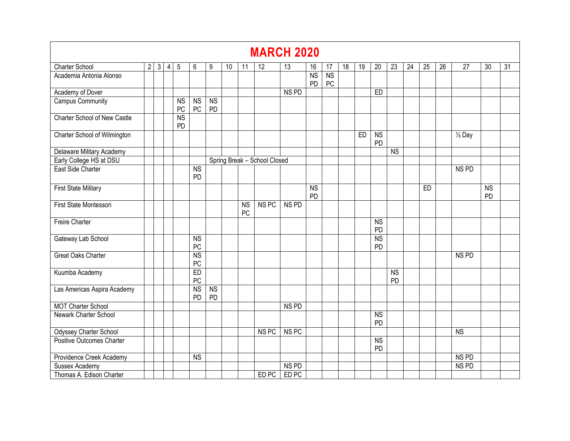|                                                                                                                                                                                                                                                                                       |                |                |                |                 |                 |                      |    |                 |                  | <b>MARCH 2020</b> |                 |                              |    |    |                              |                 |                 |                 |                 |                  |                              |                 |
|---------------------------------------------------------------------------------------------------------------------------------------------------------------------------------------------------------------------------------------------------------------------------------------|----------------|----------------|----------------|-----------------|-----------------|----------------------|----|-----------------|------------------|-------------------|-----------------|------------------------------|----|----|------------------------------|-----------------|-----------------|-----------------|-----------------|------------------|------------------------------|-----------------|
| <b>Charter School</b>                                                                                                                                                                                                                                                                 | $\overline{2}$ | $\overline{3}$ | $\overline{4}$ | 5               | 6               | 9                    | 10 | 11              | 12               | 13                | 16              | 17                           | 18 | 19 | $\overline{20}$              | 23              | $\overline{24}$ | $\overline{25}$ | $\overline{26}$ | $\overline{27}$  | $\overline{30}$              | $\overline{31}$ |
| Academia Antonia Alonso                                                                                                                                                                                                                                                               |                |                |                |                 |                 |                      |    |                 |                  |                   | <b>NS</b><br>PD | $\overline{\text{NS}}$<br>PC |    |    |                              |                 |                 |                 |                 |                  |                              |                 |
| Academy of Dover                                                                                                                                                                                                                                                                      |                |                |                |                 |                 |                      |    |                 |                  | NS <sub>PD</sub>  |                 |                              |    |    | ED                           |                 |                 |                 |                 |                  |                              |                 |
| Campus Community                                                                                                                                                                                                                                                                      |                |                |                | <b>NS</b><br>PC | <b>NS</b><br>PC | <b>NS</b><br>PD      |    |                 |                  |                   |                 |                              |    |    |                              |                 |                 |                 |                 |                  |                              |                 |
| Charter School of New Castle                                                                                                                                                                                                                                                          |                |                |                | <b>NS</b><br>PD |                 |                      |    |                 |                  |                   |                 |                              |    |    |                              |                 |                 |                 |                 |                  |                              |                 |
| Charter School of Wilmington<br>N <sub>S</sub><br>ED<br>$\overline{\frac{1}{2}}$ Day<br>PD<br>Delaware Military Academy<br>$\overline{\text{NS}}$<br>Early College HS at DSU<br>Spring Break - School Closed<br>East Side Charter<br>$\overline{\text{NS}}$<br>NS <sub>PD</sub><br>PD |                |                |                |                 |                 |                      |    |                 |                  |                   |                 |                              |    |    |                              |                 |                 |                 |                 |                  |                              |                 |
|                                                                                                                                                                                                                                                                                       |                |                |                |                 |                 |                      |    |                 |                  |                   |                 |                              |    |    |                              |                 |                 |                 |                 |                  |                              |                 |
|                                                                                                                                                                                                                                                                                       |                |                |                |                 |                 |                      |    |                 |                  |                   |                 |                              |    |    |                              |                 |                 |                 |                 |                  |                              |                 |
|                                                                                                                                                                                                                                                                                       |                |                |                |                 |                 |                      |    |                 |                  |                   |                 |                              |    |    |                              |                 |                 |                 |                 |                  |                              |                 |
| <b>First State Military</b>                                                                                                                                                                                                                                                           |                |                |                |                 |                 |                      |    |                 |                  |                   | <b>NS</b><br>PD |                              |    |    |                              |                 |                 | ED              |                 |                  | $\overline{\text{NS}}$<br>PD |                 |
| First State Montessori                                                                                                                                                                                                                                                                |                |                |                |                 |                 |                      |    | <b>NS</b><br>PC | NS <sub>PC</sub> | NS <sub>PD</sub>  |                 |                              |    |    |                              |                 |                 |                 |                 |                  |                              |                 |
| <b>Freire Charter</b>                                                                                                                                                                                                                                                                 |                |                |                |                 |                 |                      |    |                 |                  |                   |                 |                              |    |    | $\overline{\text{NS}}$<br>PD |                 |                 |                 |                 |                  |                              |                 |
| Gateway Lab School                                                                                                                                                                                                                                                                    |                |                |                |                 | <b>NS</b><br>PC |                      |    |                 |                  |                   |                 |                              |    |    | $\overline{\text{NS}}$<br>PD |                 |                 |                 |                 |                  |                              |                 |
| <b>Great Oaks Charter</b>                                                                                                                                                                                                                                                             |                |                |                |                 | <b>NS</b><br>PC |                      |    |                 |                  |                   |                 |                              |    |    |                              |                 |                 |                 |                 | NS <sub>PD</sub> |                              |                 |
| Kuumba Academy                                                                                                                                                                                                                                                                        |                |                |                |                 | ED<br>PC        |                      |    |                 |                  |                   |                 |                              |    |    |                              | <b>NS</b><br>PD |                 |                 |                 |                  |                              |                 |
| Las Americas Aspira Academy                                                                                                                                                                                                                                                           |                |                |                |                 | <b>NS</b><br>PD | N <sub>S</sub><br>PD |    |                 |                  |                   |                 |                              |    |    |                              |                 |                 |                 |                 |                  |                              |                 |
| <b>MOT Charter School</b>                                                                                                                                                                                                                                                             |                |                |                |                 |                 |                      |    |                 |                  | NS <sub>PD</sub>  |                 |                              |    |    |                              |                 |                 |                 |                 |                  |                              |                 |
| Newark Charter School                                                                                                                                                                                                                                                                 |                |                |                |                 |                 |                      |    |                 |                  |                   |                 |                              |    |    | $\overline{\text{NS}}$<br>PD |                 |                 |                 |                 |                  |                              |                 |
| <b>Odyssey Charter School</b>                                                                                                                                                                                                                                                         |                |                |                |                 |                 |                      |    |                 | NS <sub>PC</sub> | NS <sub>PC</sub>  |                 |                              |    |    |                              |                 |                 |                 |                 | N <sub>S</sub>   |                              |                 |
| Positive Outcomes Charter                                                                                                                                                                                                                                                             |                |                |                |                 |                 |                      |    |                 |                  |                   |                 |                              |    |    | <b>NS</b><br><b>PD</b>       |                 |                 |                 |                 |                  |                              |                 |
| Providence Creek Academy                                                                                                                                                                                                                                                              |                |                |                |                 | <b>NS</b>       |                      |    |                 |                  |                   |                 |                              |    |    |                              |                 |                 |                 |                 | NS <sub>PD</sub> |                              |                 |
| Sussex Academy                                                                                                                                                                                                                                                                        |                |                |                |                 |                 |                      |    |                 |                  | NS <sub>PD</sub>  |                 |                              |    |    |                              |                 |                 |                 |                 | NS <sub>PD</sub> |                              |                 |
| Thomas A. Edison Charter                                                                                                                                                                                                                                                              |                |                |                |                 |                 |                      |    |                 | ED PC            | ED <sub>PC</sub>  |                 |                              |    |    |                              |                 |                 |                 |                 |                  |                              |                 |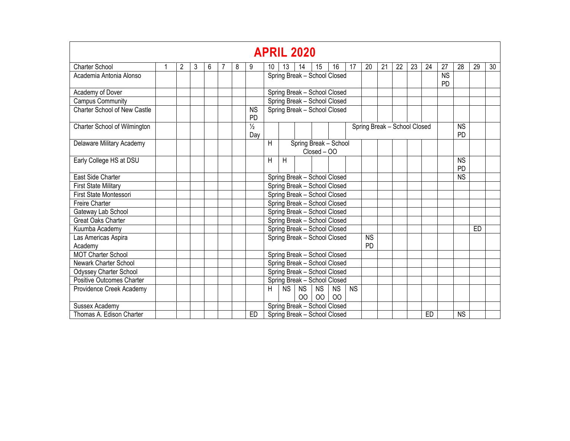|                                     |   |                |   |   |   |                                                                                            | <b>APRIL 2020</b>                         |           |                 |                     |                              |           |                              |    |    |    |    |                        |                        |    |    |
|-------------------------------------|---|----------------|---|---|---|--------------------------------------------------------------------------------------------|-------------------------------------------|-----------|-----------------|---------------------|------------------------------|-----------|------------------------------|----|----|----|----|------------------------|------------------------|----|----|
| <b>Charter School</b>               | 1 | $\overline{2}$ | 3 | 6 | 8 | 9                                                                                          | 10                                        | 13        | 14              | 15                  | 16                           | 17        | 20                           | 21 | 22 | 23 | 24 | 27                     | 28                     | 29 | 30 |
| Academia Antonia Alonso             |   |                |   |   |   |                                                                                            |                                           |           |                 |                     | Spring Break - School Closed |           |                              |    |    |    |    | <b>NS</b><br><b>PD</b> |                        |    |    |
| Academy of Dover                    |   |                |   |   |   |                                                                                            |                                           |           |                 |                     | Spring Break - School Closed |           |                              |    |    |    |    |                        |                        |    |    |
| <b>Campus Community</b>             |   |                |   |   |   |                                                                                            |                                           |           |                 |                     | Spring Break - School Closed |           |                              |    |    |    |    |                        |                        |    |    |
| <b>Charter School of New Castle</b> |   |                |   |   |   | <b>NS</b><br>PD                                                                            |                                           |           |                 |                     | Spring Break - School Closed |           |                              |    |    |    |    |                        |                        |    |    |
| Charter School of Wilmington        |   |                |   |   |   | $\frac{1}{2}$<br>Day                                                                       |                                           |           |                 |                     |                              |           | Spring Break - School Closed |    |    |    |    |                        | <b>NS</b><br><b>PD</b> |    |    |
| Delaware Military Academy           |   |                |   |   |   | $\overline{H}$<br>Spring Break - School<br>Closed - OO<br>н<br>H<br><b>NS</b><br><b>PD</b> |                                           |           |                 |                     |                              |           |                              |    |    |    |    |                        |                        |    |    |
| Early College HS at DSU             |   |                |   |   |   |                                                                                            | Spring Break - School Closed<br><b>NS</b> |           |                 |                     |                              |           |                              |    |    |    |    |                        |                        |    |    |
| East Side Charter                   |   |                |   |   |   |                                                                                            |                                           |           |                 |                     |                              |           |                              |    |    |    |    |                        |                        |    |    |
| <b>First State Military</b>         |   |                |   |   |   |                                                                                            |                                           |           |                 |                     | Spring Break - School Closed |           |                              |    |    |    |    |                        |                        |    |    |
| First State Montessori              |   |                |   |   |   |                                                                                            |                                           |           |                 |                     | Spring Break - School Closed |           |                              |    |    |    |    |                        |                        |    |    |
| <b>Freire Charter</b>               |   |                |   |   |   |                                                                                            |                                           |           |                 |                     | Spring Break - School Closed |           |                              |    |    |    |    |                        |                        |    |    |
| Gateway Lab School                  |   |                |   |   |   |                                                                                            |                                           |           |                 |                     | Spring Break - School Closed |           |                              |    |    |    |    |                        |                        |    |    |
| <b>Great Oaks Charter</b>           |   |                |   |   |   |                                                                                            |                                           |           |                 |                     | Spring Break - School Closed |           |                              |    |    |    |    |                        |                        |    |    |
| Kuumba Academy                      |   |                |   |   |   |                                                                                            |                                           |           |                 |                     | Spring Break - School Closed |           |                              |    |    |    |    |                        |                        | ED |    |
| Las Americas Aspira<br>Academy      |   |                |   |   |   |                                                                                            |                                           |           |                 |                     | Spring Break - School Closed |           | <b>NS</b><br>PD.             |    |    |    |    |                        |                        |    |    |
| <b>MOT Charter School</b>           |   |                |   |   |   |                                                                                            |                                           |           |                 |                     | Spring Break - School Closed |           |                              |    |    |    |    |                        |                        |    |    |
| <b>Newark Charter School</b>        |   |                |   |   |   |                                                                                            |                                           |           |                 |                     | Spring Break - School Closed |           |                              |    |    |    |    |                        |                        |    |    |
| <b>Odyssey Charter School</b>       |   |                |   |   |   |                                                                                            |                                           |           |                 |                     | Spring Break - School Closed |           |                              |    |    |    |    |                        |                        |    |    |
| Positive Outcomes Charter           |   |                |   |   |   |                                                                                            |                                           |           |                 |                     | Spring Break - School Closed |           |                              |    |    |    |    |                        |                        |    |    |
| Providence Creek Academy            |   |                |   |   |   |                                                                                            | Н                                         | <b>NS</b> | <b>NS</b><br>00 | <b>NS</b><br>$00\,$ | <b>NS</b><br>00              | <b>NS</b> |                              |    |    |    |    |                        |                        |    |    |
| Sussex Academy                      |   |                |   |   |   |                                                                                            |                                           |           |                 |                     | Spring Break - School Closed |           |                              |    |    |    |    |                        |                        |    |    |
| Thomas A. Edison Charter            |   |                |   |   |   | ED                                                                                         |                                           |           |                 |                     | Spring Break - School Closed |           |                              |    |    |    | ED |                        | <b>NS</b>              |    |    |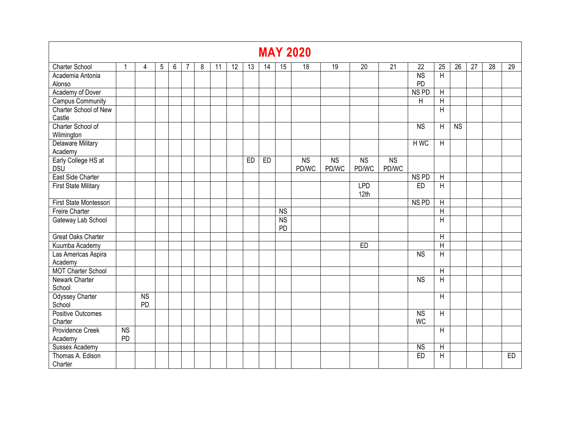|                                     |                 |                 |   |   |   |   |    |    |    |    |                 | <b>MAY 2020</b>         |                         |                         |                         |                        |                           |                        |    |    |    |
|-------------------------------------|-----------------|-----------------|---|---|---|---|----|----|----|----|-----------------|-------------------------|-------------------------|-------------------------|-------------------------|------------------------|---------------------------|------------------------|----|----|----|
| <b>Charter School</b>               | 1               | 4               | 5 | 6 | 7 | 8 | 11 | 12 | 13 | 14 | 15              | 18                      | 19                      | $\overline{20}$         | $\overline{21}$         | 22                     | 25                        | 26                     | 27 | 28 | 29 |
| Academia Antonia                    |                 |                 |   |   |   |   |    |    |    |    |                 |                         |                         |                         |                         | <b>NS</b>              | $\overline{H}$            |                        |    |    |    |
| Alonso                              |                 |                 |   |   |   |   |    |    |    |    |                 |                         |                         |                         |                         | PD                     |                           |                        |    |    |    |
| Academy of Dover                    |                 |                 |   |   |   |   |    |    |    |    |                 |                         |                         |                         |                         | NS <sub>PD</sub>       | H                         |                        |    |    |    |
| <b>Campus Community</b>             |                 |                 |   |   |   |   |    |    |    |    |                 |                         |                         |                         |                         | H                      | $\sf H$                   |                        |    |    |    |
| Charter School of New<br>Castle     |                 |                 |   |   |   |   |    |    |    |    |                 |                         |                         |                         |                         |                        | H                         |                        |    |    |    |
| Charter School of                   |                 |                 |   |   |   |   |    |    |    |    |                 |                         |                         |                         |                         | <b>NS</b>              | $\boldsymbol{\mathsf{H}}$ | $\overline{\text{NS}}$ |    |    |    |
| Wilmington                          |                 |                 |   |   |   |   |    |    |    |    |                 |                         |                         |                         |                         |                        |                           |                        |    |    |    |
| <b>Delaware Military</b><br>Academy |                 |                 |   |   |   |   |    |    |    |    |                 |                         |                         |                         |                         | H WC                   | Н                         |                        |    |    |    |
| Early College HS at<br><b>DSU</b>   |                 |                 |   |   |   |   |    |    | ED | ED |                 | N <sub>S</sub><br>PD/WC | N <sub>S</sub><br>PD/WC | N <sub>S</sub><br>PD/WC | N <sub>S</sub><br>PD/WC |                        |                           |                        |    |    |    |
| East Side Charter                   |                 |                 |   |   |   |   |    |    |    |    |                 |                         |                         |                         |                         | NS <sub>PD</sub>       | H                         |                        |    |    |    |
| <b>First State Military</b>         |                 |                 |   |   |   |   |    |    |    |    |                 |                         |                         | <b>LPD</b><br>12th      |                         | ED                     | $\sf H$                   |                        |    |    |    |
| First State Montessori              |                 |                 |   |   |   |   |    |    |    |    |                 |                         |                         |                         |                         | NS <sub>PD</sub>       | $\overline{H}$            |                        |    |    |    |
| <b>Freire Charter</b>               |                 |                 |   |   |   |   |    |    |    |    | N <sub>S</sub>  |                         |                         |                         |                         |                        | $\boldsymbol{\mathsf{H}}$ |                        |    |    |    |
| Gateway Lab School                  |                 |                 |   |   |   |   |    |    |    |    | <b>NS</b><br>PD |                         |                         |                         |                         |                        | H                         |                        |    |    |    |
| <b>Great Oaks Charter</b>           |                 |                 |   |   |   |   |    |    |    |    |                 |                         |                         |                         |                         |                        | $\overline{H}$            |                        |    |    |    |
| Kuumba Academy                      |                 |                 |   |   |   |   |    |    |    |    |                 |                         |                         | ED                      |                         |                        | $\overline{H}$            |                        |    |    |    |
| Las Americas Aspira<br>Academy      |                 |                 |   |   |   |   |    |    |    |    |                 |                         |                         |                         |                         | <b>NS</b>              | $\overline{H}$            |                        |    |    |    |
| <b>MOT Charter School</b>           |                 |                 |   |   |   |   |    |    |    |    |                 |                         |                         |                         |                         |                        | $\overline{H}$            |                        |    |    |    |
| Newark Charter<br>School            |                 |                 |   |   |   |   |    |    |    |    |                 |                         |                         |                         |                         | N <sub>S</sub>         | $\overline{H}$            |                        |    |    |    |
| <b>Odyssey Charter</b><br>School    |                 | <b>NS</b><br>PD |   |   |   |   |    |    |    |    |                 |                         |                         |                         |                         |                        | H                         |                        |    |    |    |
| <b>Positive Outcomes</b><br>Charter |                 |                 |   |   |   |   |    |    |    |    |                 |                         |                         |                         |                         | <b>NS</b><br><b>WC</b> | H                         |                        |    |    |    |
| <b>Providence Creek</b><br>Academy  | <b>NS</b><br>PD |                 |   |   |   |   |    |    |    |    |                 |                         |                         |                         |                         |                        | H                         |                        |    |    |    |
| <b>Sussex Academy</b>               |                 |                 |   |   |   |   |    |    |    |    |                 |                         |                         |                         |                         | <b>NS</b>              | $\overline{H}$            |                        |    |    |    |
| Thomas A. Edison<br>Charter         |                 |                 |   |   |   |   |    |    |    |    |                 |                         |                         |                         |                         | ED                     | $\boldsymbol{\mathsf{H}}$ |                        |    |    | ED |